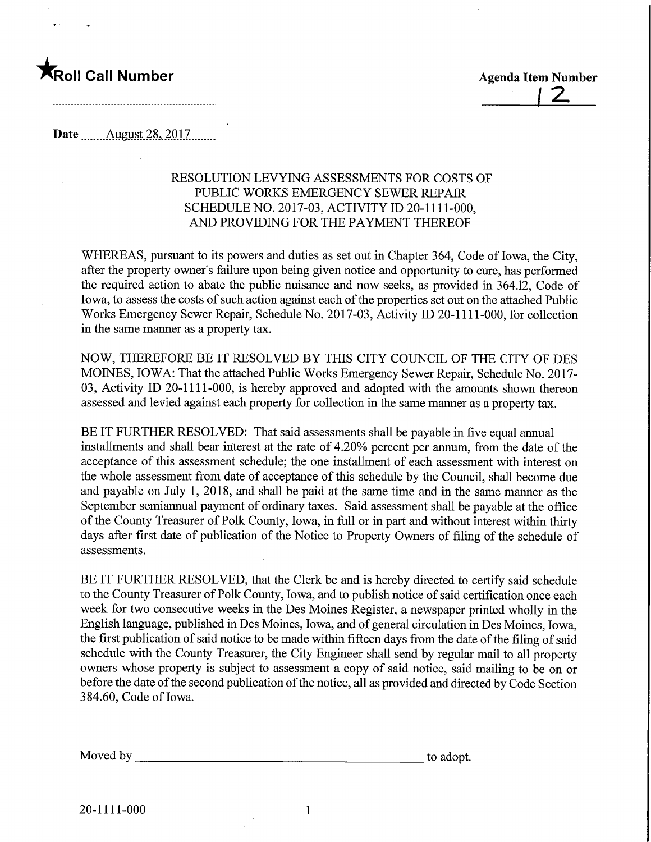

Date ........August.28,.2017.

## RESOLUTION LEVYING ASSESSMENTS FOR COSTS OF PUBLIC WORKS EMERGENCY SEWER REPAIR SCHEDULE NO. 2017-03, ACTIVITY ID 20-1111-000, AND PROVIDING FOR THE PAYMENT THEREOF

WHEREAS, pursuant to its powers and duties as set out in Chapter 364, Code of Iowa, the City, after the property owner's failure upon being given notice and opportunity to cure, has performed the required action to abate the public nuisance and now seeks, as provided in 364.12, Code of Iowa, to assess the costs of such action against each of the properties set out on the attached Public Works Emergency Sewer Repair, Schedule No. 2017-03, Activity ID 20-11 11-000, for collection in the same manner as a property tax.

NOW, THEREFORE BE IT RESOLVED BY THIS CITY COUNCIL OF THE CITY OF DES MOINES, IOWA: That the attached Public Works Emergency Sewer Repair, Schedule No. 2017- 03, Activity ID 20-1111-000, is hereby approved and adopted with the amounts shown thereon assessed and levied against each property for collection in the same manner as a property tax.

BE IT FURTHER RESOLVED: That said assessments shall be payable in five equal annual installments and shall bear interest at the rate of 4.20% percent per annum, from the date of the acceptance of this assessment schedule; the one installment of each assessment with interest on the whole assessment from date of acceptance of this schedule by the Council, shall become due and payable on July 1, 2018, and shall be paid at the same time and in the same manner as the September semiannual payment of ordinary taxes. Said assessment shall be payable at the office of the County Treasurer of Polk County, Iowa, in full or in part and without interest within thirty days after first date of publication of the Notice to Property Owners of filing of the schedule of assessments.

BE IT FURTHER RESOLVED, that the Clerk be and is hereby directed to certify said schedule to the County Treasurer of Polk County, Iowa, and to publish notice of said certification once each week for two consecutive weeks in the Des Moines Register, a newspaper printed wholly in the English language, published in Des Moines, Iowa, and of general circulation in Des Moines, Iowa, the first publication of said notice to be made within fifteen days from the date of the filing of said schedule with the County Treasurer, the City Engineer shall send by regular mail to all property owners whose property is subject to assessment a copy of said notice, said mailing to be on or before the date of the second publication of the notice, all as provided and directed by Code Section 384.60, Code of Iowa.

Moved by \_ to adopt.

 $\mathbf{1}$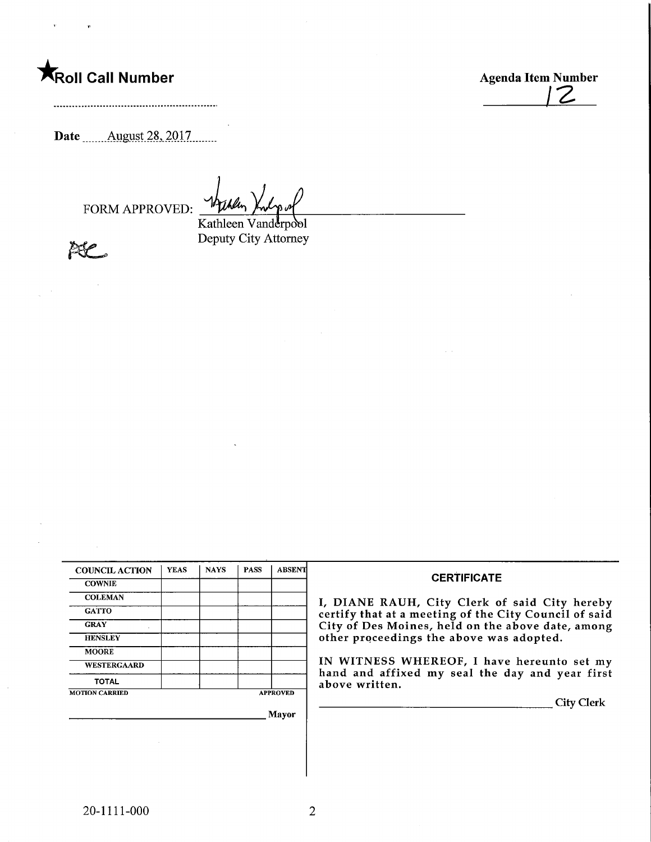**Agenda Item Number**<br>
Agenda Item Number<br>
2

Date ........Aygyst.28,.2017.

FORM APPROVED:

Kathleen Vanderpool Deputy City Attorney

**BSP** 

| <b>COUNCIL ACTION</b> | <b>YEAS</b> | <b>NAYS</b> | <b>PASS</b>     | <b>ABSENT</b> |  |  |
|-----------------------|-------------|-------------|-----------------|---------------|--|--|
| <b>COWNIE</b>         |             |             |                 |               |  |  |
| <b>COLEMAN</b>        |             |             |                 |               |  |  |
| <b>GATTO</b>          |             |             |                 |               |  |  |
| <b>GRAY</b>           |             |             |                 |               |  |  |
| <b>HENSLEY</b>        |             |             |                 |               |  |  |
| <b>MOORE</b>          |             |             |                 |               |  |  |
| <b>WESTERGAARD</b>    |             |             |                 |               |  |  |
| <b>TOTAL</b>          |             |             |                 |               |  |  |
| <b>MOTION CARRIED</b> |             |             | <b>APPROVED</b> |               |  |  |

<sub>.</sub> Mayor

## **CERTIFICATE**

I, DIANE RAUH, City Clerk of said City hereby certify that at a meeting of the City Council of said City of Des Moines, held on the above date, among other proceedings the above was adopted.

IN WITNESS WHEREOF, I have hereunto set my hand and affixed my seal the day and year first above written.

City Clerk